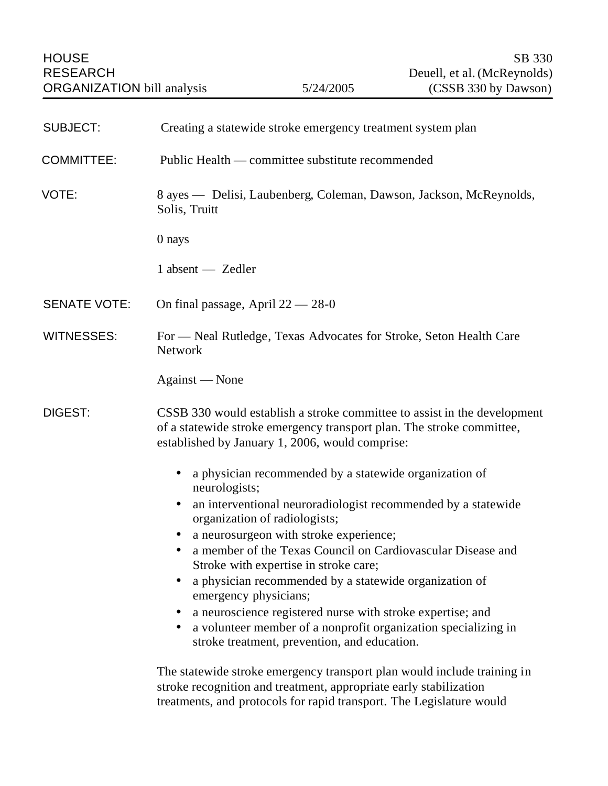| <b>SUBJECT:</b>     | Creating a statewide stroke emergency treatment system plan                                                                                                                                                          |
|---------------------|----------------------------------------------------------------------------------------------------------------------------------------------------------------------------------------------------------------------|
| <b>COMMITTEE:</b>   | Public Health — committee substitute recommended                                                                                                                                                                     |
| VOTE:               | 8 ayes — Delisi, Laubenberg, Coleman, Dawson, Jackson, McReynolds,<br>Solis, Truitt                                                                                                                                  |
|                     | 0 nays                                                                                                                                                                                                               |
|                     | $1$ absent $-$ Zedler                                                                                                                                                                                                |
| <b>SENATE VOTE:</b> | On final passage, April $22 - 28 - 0$                                                                                                                                                                                |
| <b>WITNESSES:</b>   | For - Neal Rutledge, Texas Advocates for Stroke, Seton Health Care<br>Network                                                                                                                                        |
|                     | Against - None                                                                                                                                                                                                       |
| <b>DIGEST:</b>      | CSSB 330 would establish a stroke committee to assist in the development<br>of a statewide stroke emergency transport plan. The stroke committee,<br>established by January 1, 2006, would comprise:                 |
|                     | a physician recommended by a statewide organization of<br>$\bullet$<br>neurologists;                                                                                                                                 |
|                     | an interventional neuroradiologist recommended by a statewide<br>$\bullet$<br>organization of radiologists;                                                                                                          |
|                     | a neurosurgeon with stroke experience;                                                                                                                                                                               |
|                     | a member of the Texas Council on Cardiovascular Disease and<br>Stroke with expertise in stroke care;                                                                                                                 |
|                     | a physician recommended by a statewide organization of<br>emergency physicians;                                                                                                                                      |
|                     | a neuroscience registered nurse with stroke expertise; and<br>a volunteer member of a nonprofit organization specializing in<br>$\bullet$<br>stroke treatment, prevention, and education.                            |
|                     | The statewide stroke emergency transport plan would include training in<br>stroke recognition and treatment, appropriate early stabilization<br>treatments, and protocols for rapid transport. The Legislature would |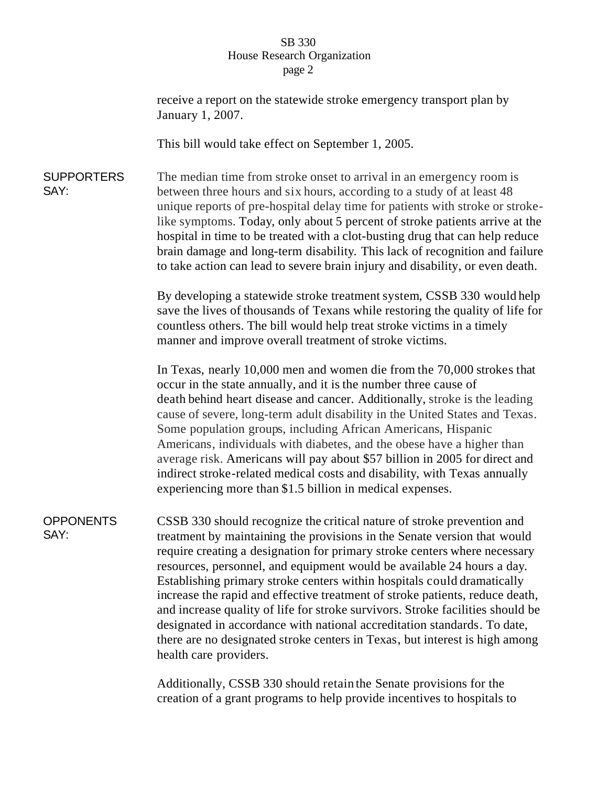## SB 330 House Research Organization page 2

|                           | receive a report on the statewide stroke emergency transport plan by<br>January 1, 2007.                                                                                                                                                                                                                                                                                                                                                                                                                                                                                                                                                                                                                                                    |
|---------------------------|---------------------------------------------------------------------------------------------------------------------------------------------------------------------------------------------------------------------------------------------------------------------------------------------------------------------------------------------------------------------------------------------------------------------------------------------------------------------------------------------------------------------------------------------------------------------------------------------------------------------------------------------------------------------------------------------------------------------------------------------|
|                           | This bill would take effect on September 1, 2005.                                                                                                                                                                                                                                                                                                                                                                                                                                                                                                                                                                                                                                                                                           |
| <b>SUPPORTERS</b><br>SAY: | The median time from stroke onset to arrival in an emergency room is<br>between three hours and six hours, according to a study of at least 48<br>unique reports of pre-hospital delay time for patients with stroke or stroke-<br>like symptoms. Today, only about 5 percent of stroke patients arrive at the<br>hospital in time to be treated with a clot-busting drug that can help reduce<br>brain damage and long-term disability. This lack of recognition and failure<br>to take action can lead to severe brain injury and disability, or even death.                                                                                                                                                                              |
|                           | By developing a statewide stroke treatment system, CSSB 330 would help<br>save the lives of thousands of Texans while restoring the quality of life for<br>countless others. The bill would help treat stroke victims in a timely<br>manner and improve overall treatment of stroke victims.                                                                                                                                                                                                                                                                                                                                                                                                                                                |
|                           | In Texas, nearly 10,000 men and women die from the 70,000 strokes that<br>occur in the state annually, and it is the number three cause of<br>death behind heart disease and cancer. Additionally, stroke is the leading<br>cause of severe, long-term adult disability in the United States and Texas.<br>Some population groups, including African Americans, Hispanic<br>Americans, individuals with diabetes, and the obese have a higher than<br>average risk. Americans will pay about \$57 billion in 2005 for direct and<br>indirect stroke-related medical costs and disability, with Texas annually<br>experiencing more than \$1.5 billion in medical expenses.                                                                  |
| <b>OPPONENTS</b><br>SAY:  | CSSB 330 should recognize the critical nature of stroke prevention and<br>treatment by maintaining the provisions in the Senate version that would<br>require creating a designation for primary stroke centers where necessary<br>resources, personnel, and equipment would be available 24 hours a day.<br>Establishing primary stroke centers within hospitals could dramatically<br>increase the rapid and effective treatment of stroke patients, reduce death,<br>and increase quality of life for stroke survivors. Stroke facilities should be<br>designated in accordance with national accreditation standards. To date,<br>there are no designated stroke centers in Texas, but interest is high among<br>health care providers. |
|                           | Additionally, CSSB 330 should retain the Senate provisions for the                                                                                                                                                                                                                                                                                                                                                                                                                                                                                                                                                                                                                                                                          |

Additionally, CSSB 330 should retain the Senate provisions for the creation of a grant programs to help provide incentives to hospitals to